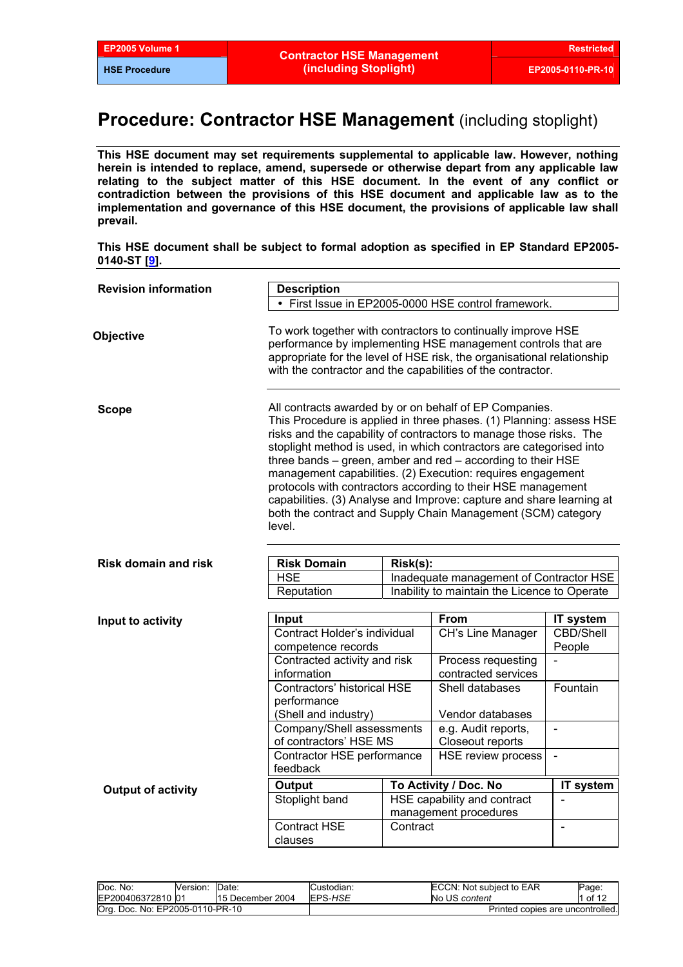# **Procedure: Contractor HSE Management** (including stoplight)

**This HSE document may set requirements supplemental to applicable law. However, nothing herein is intended to replace, amend, supersede or otherwise depart from any applicable law relating to the subject matter of this HSE document. In the event of any conflict or contradiction between the provisions of this HSE document and applicable law as to the implementation and governance of this HSE document, the provisions of applicable law shall prevail.** 

#### **This HSE document shall be subject to formal adoption as specified in EP Standard EP2005- 0140-ST [[9](#page-11-0)].**

| <b>Revision information</b> | <b>Description</b>                                                                                                                                                                                                                                                                                                                                                                                                                                                                                                                                                                                                         |          |                                                     |                  |  |  |
|-----------------------------|----------------------------------------------------------------------------------------------------------------------------------------------------------------------------------------------------------------------------------------------------------------------------------------------------------------------------------------------------------------------------------------------------------------------------------------------------------------------------------------------------------------------------------------------------------------------------------------------------------------------------|----------|-----------------------------------------------------|------------------|--|--|
|                             |                                                                                                                                                                                                                                                                                                                                                                                                                                                                                                                                                                                                                            |          | • First Issue in EP2005-0000 HSE control framework. |                  |  |  |
| Objective                   | To work together with contractors to continually improve HSE<br>performance by implementing HSE management controls that are<br>appropriate for the level of HSE risk, the organisational relationship<br>with the contractor and the capabilities of the contractor.                                                                                                                                                                                                                                                                                                                                                      |          |                                                     |                  |  |  |
| <b>Scope</b>                | All contracts awarded by or on behalf of EP Companies.<br>This Procedure is applied in three phases. (1) Planning: assess HSE<br>risks and the capability of contractors to manage those risks. The<br>stoplight method is used, in which contractors are categorised into<br>three bands - green, amber and red - according to their HSE<br>management capabilities. (2) Execution: requires engagement<br>protocols with contractors according to their HSE management<br>capabilities. (3) Analyse and Improve: capture and share learning at<br>both the contract and Supply Chain Management (SCM) category<br>level. |          |                                                     |                  |  |  |
|                             |                                                                                                                                                                                                                                                                                                                                                                                                                                                                                                                                                                                                                            |          |                                                     |                  |  |  |
| <b>Risk domain and risk</b> | <b>Risk Domain</b><br>$Risk(s)$ :<br><b>HSE</b>                                                                                                                                                                                                                                                                                                                                                                                                                                                                                                                                                                            |          |                                                     |                  |  |  |
|                             | Inadequate management of Contractor HSE<br>Inability to maintain the Licence to Operate<br>Reputation                                                                                                                                                                                                                                                                                                                                                                                                                                                                                                                      |          |                                                     |                  |  |  |
|                             |                                                                                                                                                                                                                                                                                                                                                                                                                                                                                                                                                                                                                            |          |                                                     |                  |  |  |
| Input to activity           | Input                                                                                                                                                                                                                                                                                                                                                                                                                                                                                                                                                                                                                      |          | <b>From</b>                                         | IT system        |  |  |
|                             | Contract Holder's individual                                                                                                                                                                                                                                                                                                                                                                                                                                                                                                                                                                                               |          | <b>CH's Line Manager</b>                            | <b>CBD/Shell</b> |  |  |
|                             | competence records                                                                                                                                                                                                                                                                                                                                                                                                                                                                                                                                                                                                         |          |                                                     | People           |  |  |
|                             | Contracted activity and risk                                                                                                                                                                                                                                                                                                                                                                                                                                                                                                                                                                                               |          | Process requesting                                  |                  |  |  |
|                             | information                                                                                                                                                                                                                                                                                                                                                                                                                                                                                                                                                                                                                |          | contracted services                                 |                  |  |  |
|                             | Contractors' historical HSE                                                                                                                                                                                                                                                                                                                                                                                                                                                                                                                                                                                                |          | Shell databases                                     | Fountain         |  |  |
|                             | performance                                                                                                                                                                                                                                                                                                                                                                                                                                                                                                                                                                                                                |          |                                                     |                  |  |  |
|                             | (Shell and industry)<br>Company/Shell assessments                                                                                                                                                                                                                                                                                                                                                                                                                                                                                                                                                                          |          | Vendor databases<br>e.g. Audit reports,             | $\overline{a}$   |  |  |
|                             | of contractors' HSE MS                                                                                                                                                                                                                                                                                                                                                                                                                                                                                                                                                                                                     |          | Closeout reports                                    |                  |  |  |
|                             | Contractor HSE performance<br>feedback                                                                                                                                                                                                                                                                                                                                                                                                                                                                                                                                                                                     |          | HSE review process                                  |                  |  |  |
|                             | <b>Output</b>                                                                                                                                                                                                                                                                                                                                                                                                                                                                                                                                                                                                              |          | To Activity / Doc. No                               | IT system        |  |  |
| <b>Output of activity</b>   | Stoplight band                                                                                                                                                                                                                                                                                                                                                                                                                                                                                                                                                                                                             |          | HSE capability and contract                         |                  |  |  |
|                             |                                                                                                                                                                                                                                                                                                                                                                                                                                                                                                                                                                                                                            |          | management procedures                               |                  |  |  |
|                             | <b>Contract HSE</b><br>clauses                                                                                                                                                                                                                                                                                                                                                                                                                                                                                                                                                                                             | Contract |                                                     | $\frac{1}{2}$    |  |  |

| Doc. No:                        | Version: | Date             | Custodian: | ECCN: Not subject to EAR         | Page:              |
|---------------------------------|----------|------------------|------------|----------------------------------|--------------------|
| EP200406372810 01               |          | 15 December 2004 | EPS-HSE    | No US content                    | $.$ of 1 $\degree$ |
| Org. Doc. No: EP2005-0110-PR-10 |          |                  |            | Printed copies are uncontrolled. |                    |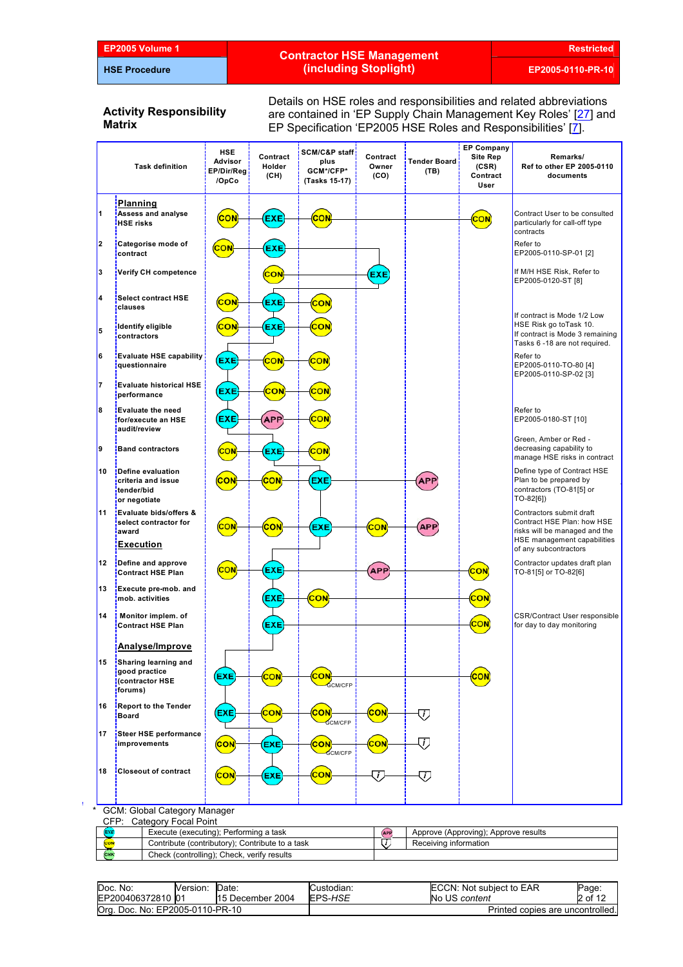Î,

# **EP2005 Volume 1 Restricted Contractor HSE Management (including Stoplight) EP2005-0110-PR-10**

#### **Activity Responsibility Matrix**

Details on HSE roles and responsibilities and related abbreviations are contained in 'EP Supply Chain Management Key Roles' [[27](#page-11-0)] and EP Specification 'EP2005 HSE Roles and Responsibilities' [\[7\]](#page-11-0).

|    | <b>Task definition</b>                                                                  | <b>HSE</b><br>Advisor<br>EP/Dir/Reg <mark>i</mark><br>/OpCo | Contract<br>Holder<br>(CH) | SCM/C&P staff <mark>:</mark><br>plus<br>GCM*/CFP*<br>(Tasks 15-17) | Contract<br>Owner<br>(CO) | Tender Board!<br>(TB) | <b>EP Company</b><br><b>Site Rep</b><br>(CSR)<br>Contract<br>User | Remarks/<br>Ref to other EP 2005-0110<br>documents                                                                        |
|----|-----------------------------------------------------------------------------------------|-------------------------------------------------------------|----------------------------|--------------------------------------------------------------------|---------------------------|-----------------------|-------------------------------------------------------------------|---------------------------------------------------------------------------------------------------------------------------|
| 1  | <b>Planning</b><br><b>Assess and analyse</b><br><b>HSE</b> risks                        |                                                             |                            |                                                                    |                           |                       | CON                                                               | Contract User to be consulted<br>particularly for call-off type<br>contracts                                              |
| 2  | Categorise mode of<br>contract                                                          |                                                             |                            |                                                                    |                           |                       |                                                                   | Refer to<br>EP2005-0110-SP-01 [2]                                                                                         |
| 3  | Verify CH competence                                                                    |                                                             |                            |                                                                    | EXE                       |                       |                                                                   | If M/H HSE Risk, Refer to<br>EP2005-0120-ST [8]                                                                           |
| 4  | <b>Select contract HSE</b><br>clauses                                                   | CON                                                         | EXE                        | cоı                                                                |                           |                       |                                                                   |                                                                                                                           |
| 5  | identify eligible<br>contractors                                                        |                                                             | EXE                        |                                                                    |                           |                       |                                                                   | If contract is Mode 1/2 Low<br>HSE Risk go toTask 10.<br>If contract is Mode 3 remaining<br>Tasks 6 -18 are not required. |
| 6  | <b>Evaluate HSE capability</b><br>questionnaire                                         | <b>EXE</b>                                                  | cor                        |                                                                    |                           |                       |                                                                   | Refer to<br>EP2005-0110-TO-80 [4]<br>EP2005-0110-SP-02 [3]                                                                |
| 7  | <b>Evaluate historical HSE</b><br>performance                                           | (EXE                                                        | CON                        | CON                                                                |                           |                       |                                                                   |                                                                                                                           |
| 8  | <b>Evaluate the need</b><br>for/execute an HSE<br>audit/review                          | <b>EXE</b>                                                  | <b>APP</b>                 | CO۱                                                                |                           |                       |                                                                   | Refer to<br>EP2005-0180-ST [10]                                                                                           |
| 9  | <b>Band contractors</b>                                                                 |                                                             | EXE                        | cor                                                                |                           |                       |                                                                   | Green, Amber or Red -<br>decreasing capability to<br>manage HSE risks in contract                                         |
| 10 | Define evaluation<br>criteria and issue<br>tender/bid<br>or negotiate                   |                                                             | cor                        | <b>EXE</b>                                                         |                           | API                   |                                                                   | Define type of Contract HSE<br>Plan to be prepared by<br>contractors (TO-81[5] or<br>TO-82[6])                            |
| 11 | <b>Evaluate bids/offers &amp;</b><br>select contractor for<br>award<br><b>Execution</b> |                                                             | CON                        | <b>EXE</b>                                                         | <u>CON</u>                | API                   |                                                                   | Contractors submit draft<br>Contract HSE Plan: how HSE<br>risks will be managed and the<br>HSE management capabilities    |
| 12 | Define and approve<br><b>Contract HSE Plan</b>                                          | CON                                                         | EXE                        |                                                                    | <b>APP</b>                |                       | CON                                                               | of any subcontractors<br>Contractor updates draft plan<br>TO-81[5] or TO-82[6]                                            |
| 13 | <b>Execute pre-mob.</b> and<br>mob. activities                                          |                                                             | <b>EXE</b>                 | CON                                                                |                           |                       | cо                                                                |                                                                                                                           |
| 14 | Monitor implem. of<br><b>Contract HSE Plan</b>                                          |                                                             | EXE                        |                                                                    |                           |                       | CON                                                               | <b>CSR/Contract User responsible</b><br>for day to day monitoring                                                         |
|    | Analyse/Improve<br>Sharing learning and                                                 |                                                             |                            |                                                                    |                           |                       |                                                                   |                                                                                                                           |
| 15 | good practice<br><b>Contractor HSE</b><br>forums)                                       | <b>EXE</b>                                                  | cо                         | зоr<br><b>GCM/CFP</b>                                              |                           |                       |                                                                   |                                                                                                                           |
| 16 | <b>Report to the Tender</b><br>Board                                                    | (EXE                                                        | <b>CON</b>                 | CON<br><b>GCM/CFP</b>                                              | CON                       | U,                    |                                                                   |                                                                                                                           |
| 17 | Steer HSE performance<br>improvements                                                   | <b>CON</b>                                                  | EXE                        | <b>CON</b><br><b>GCM/CFP</b>                                       | CON                       | j,                    |                                                                   |                                                                                                                           |
| 18 | <b>Closeout of contract</b>                                                             | CON                                                         | EXE                        | CON                                                                | J,                        | U                     |                                                                   |                                                                                                                           |
|    | GCM: Global Category Manager                                                            |                                                             |                            |                                                                    |                           |                       |                                                                   |                                                                                                                           |
|    | CFP: Category Focal Point                                                               |                                                             |                            |                                                                    |                           |                       |                                                                   |                                                                                                                           |

| <b>EXE</b>   |            | Execute (executing); Performing a task          | Approve (Approving); Approve results |
|--------------|------------|-------------------------------------------------|--------------------------------------|
|              | <b>CON</b> | Contribute (contributory); Contribute to a task | Receiving information                |
| <b>ICHIN</b> |            | Check (controlling); Check, verify results      |                                      |
|              |            |                                                 |                                      |

| Doc. No:                        | Version: | Date:            | Custodian: | <b>IECCN: Not subiect to EAR</b> | Page:   |
|---------------------------------|----------|------------------|------------|----------------------------------|---------|
| EP200406372810 01               |          | 15 December 2004 | EPS-HSE    | No US content                    | 2 of 12 |
| Org. Doc. No: EP2005-0110-PR-10 |          |                  |            | Printed copies are uncontrolled. |         |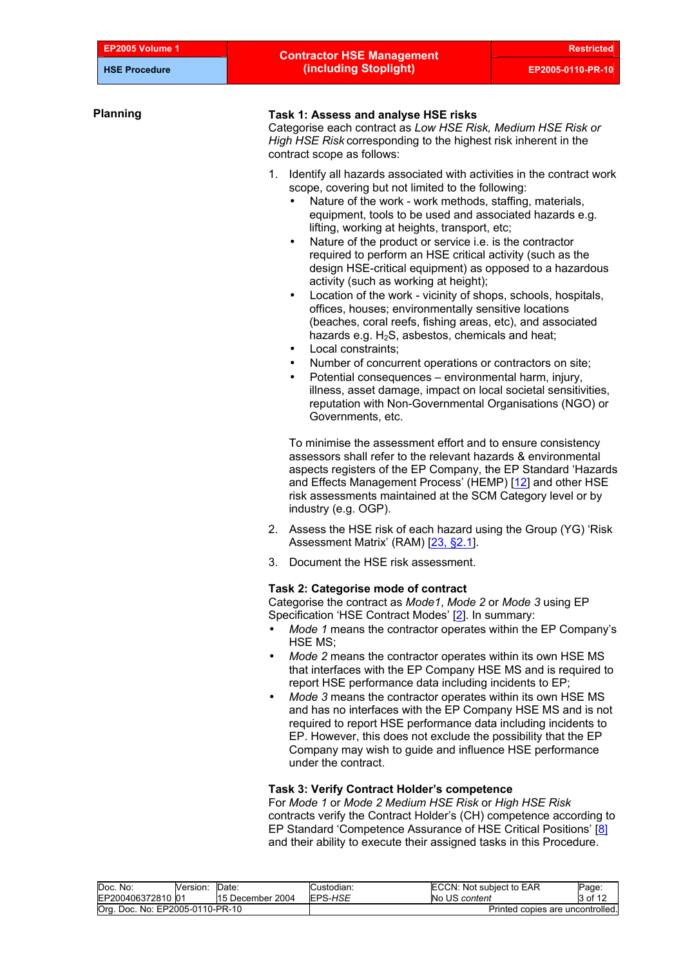| Task 1: Assess and analyse HSE risks<br>Categorise each contract as Low HSE Risk, Medium HSE Risk or<br>High HSE Risk corresponding to the highest risk inherent in the<br>contract scope as follows:                                                                                                                                                                                                                                                                                                                                                                                                                                                                                                                                                                                                                                                                                                                                                                                                                                                                                                                        |                                                                                                                                                                                                |
|------------------------------------------------------------------------------------------------------------------------------------------------------------------------------------------------------------------------------------------------------------------------------------------------------------------------------------------------------------------------------------------------------------------------------------------------------------------------------------------------------------------------------------------------------------------------------------------------------------------------------------------------------------------------------------------------------------------------------------------------------------------------------------------------------------------------------------------------------------------------------------------------------------------------------------------------------------------------------------------------------------------------------------------------------------------------------------------------------------------------------|------------------------------------------------------------------------------------------------------------------------------------------------------------------------------------------------|
| 1. Identify all hazards associated with activities in the contract work<br>scope, covering but not limited to the following:<br>Nature of the work - work methods, staffing, materials,<br>equipment, tools to be used and associated hazards e.g.<br>lifting, working at heights, transport, etc;<br>Nature of the product or service i.e. is the contractor<br>$\bullet$<br>required to perform an HSE critical activity (such as the<br>design HSE-critical equipment) as opposed to a hazardous<br>activity (such as working at height);<br>Location of the work - vicinity of shops, schools, hospitals,<br>$\bullet$<br>offices, houses; environmentally sensitive locations<br>(beaches, coral reefs, fishing areas, etc), and associated<br>hazards e.g. $H_2S$ , asbestos, chemicals and heat;<br>Local constraints:<br>$\bullet$<br>Number of concurrent operations or contractors on site;<br>Potential consequences - environmental harm, injury,<br>$\bullet$<br>illness, asset damage, impact on local societal sensitivities,<br>reputation with Non-Governmental Organisations (NGO) or<br>Governments, etc. |                                                                                                                                                                                                |
|                                                                                                                                                                                                                                                                                                                                                                                                                                                                                                                                                                                                                                                                                                                                                                                                                                                                                                                                                                                                                                                                                                                              | To minimise the assessment effort and to ensure consistency<br>assessors shall refer to the relevant hazards & environmental<br>aspects registers of the EP Company, the EP Standard 'Hazards' |

- 2. Assess the HSE risk of each hazard using the Group (YG) 'Risk Assessment Matrix' (RAM) [[23, §2.1\]](#page-11-0).
- 3. Document the HSE risk assessment.

#### **Task 2: Categorise mode of contract**

Categorise the contract as *Mode1*, *Mode 2* or *Mode 3* using EP Specification 'HSE Contract Modes' [\[2\]](#page-11-0). In summary:

- *Mode 1* means the contractor operates within the EP Company's HSE MS;
- *Mode 2* means the contractor operates within its own HSE MS that interfaces with the EP Company HSE MS and is required to report HSE performance data including incidents to EP;
- *Mode 3* means the contractor operates within its own HSE MS and has no interfaces with the EP Company HSE MS and is not required to report HSE performance data including incidents to EP. However, this does not exclude the possibility that the EP Company may wish to guide and influence HSE performance under the contract.

### **Task 3: Verify Contract Holder's competence**

For *Mode 1* or *Mode 2 Medium HSE Risk* or *High HSE Risk* contracts verify the Contract Holder's (CH) competence according to EP Standard 'Competence Assurance of HSE Critical Positions' [\[8\]](#page-11-0) and their ability to execute their assigned tasks in this Procedure.

| Doc. No:                        | Version: | Date             | Custodian:                       | ECCN: Not subject to EAR | Page:   |
|---------------------------------|----------|------------------|----------------------------------|--------------------------|---------|
| EP200406372810 01               |          | 15 December 2004 | EPS-HSE                          | No US content            | 3 of 12 |
| Org. Doc. No: EP2005-0110-PR-10 |          |                  | Printed copies are uncontrolled. |                          |         |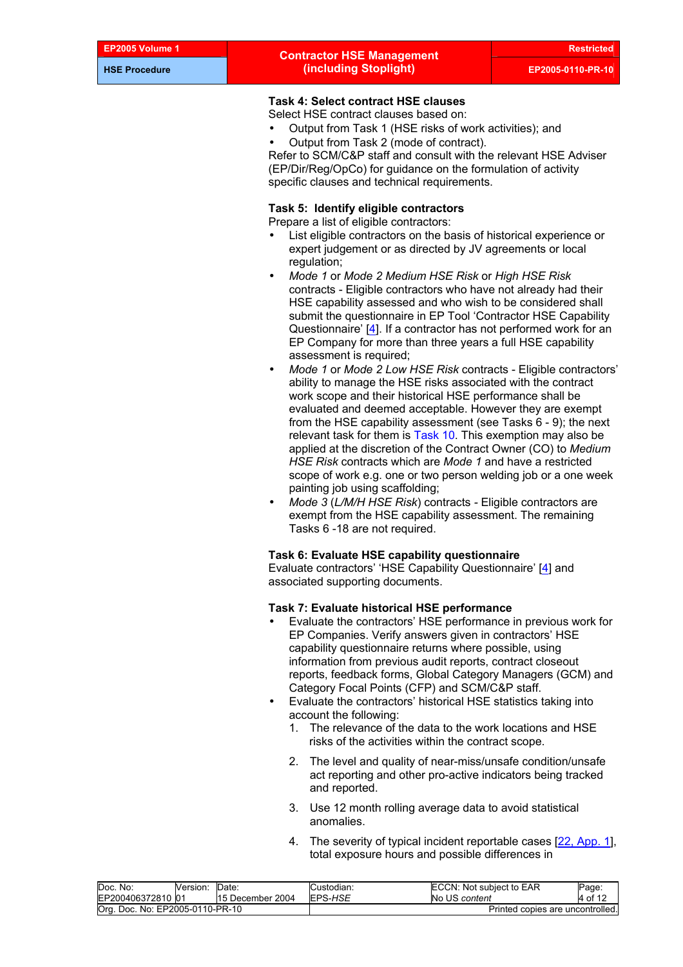# **Task 4: Select contract HSE clauses**

- Select HSE contract clauses based on:
- Output from Task 1 (HSE risks of work activities); and
- Output from Task 2 (mode of contract).

Refer to SCM/C&P staff and consult with the relevant HSE Adviser (EP/Dir/Reg/OpCo) for guidance on the formulation of activity specific clauses and technical requirements.

## **Task 5: Identify eligible contractors**

Prepare a list of eligible contractors:

- List eligible contractors on the basis of historical experience or expert judgement or as directed by JV agreements or local regulation;
- *Mode 1* or *Mode 2 Medium HSE Risk* or *High HSE Risk* contracts - Eligible contractors who have not already had their HSE capability assessed and who wish to be considered shall submit the questionnaire in EP Tool 'Contractor HSE Capability Questionnaire' [[4](#page-11-0)]. If a contractor has not performed work for an EP Company for more than three years a full HSE capability assessment is required;
- *Mode 1* or *Mode 2 Low HSE Risk* contracts Eligible contractors' ability to manage the HSE risks associated with the contract work scope and their historical HSE performance shall be evaluated and deemed acceptable. However they are exempt from the HSE capability assessment (see Tasks 6 - 9); the next relevant task for them is [Task 10](#page-6-0). This exemption may also be applied at the discretion of the Contract Owner (CO) to *Medium HSE Risk* contracts which are *Mode 1* and have a restricted scope of work e.g. one or two person welding job or a one week painting job using scaffolding;
- *Mode 3* (*L/M/H HSE Risk*) contracts *-* Eligible contractors are exempt from the HSE capability assessment. The remaining Tasks 6 -18 are not required.

#### **Task 6: Evaluate HSE capability questionnaire**

Evaluate contractors' 'HSE Capability Questionnaire' [\[4\]](#page-11-0) and associated supporting documents.

#### **Task 7: Evaluate historical HSE performance**

- Evaluate the contractors' HSE performance in previous work for EP Companies. Verify answers given in contractors' HSE capability questionnaire returns where possible, using information from previous audit reports, contract closeout reports, feedback forms, Global Category Managers (GCM) and Category Focal Points (CFP) and SCM/C&P staff.
- Evaluate the contractors' historical HSE statistics taking into account the following:
	- 1. The relevance of the data to the work locations and HSE risks of the activities within the contract scope.
	- 2. The level and quality of near-miss/unsafe condition/unsafe act reporting and other pro-active indicators being tracked and reported.
	- 3. Use 12 month rolling average data to avoid statistical anomalies.
	- 4. The severity of typical incident reportable cases [\[22, App. 1\]](#page-11-0), total exposure hours and possible differences in

| Doc.<br>No:<br>EP200406372810 01     | Version: | Date<br>15 December 2004 | Custodian:<br>EPS-HSE | ECCN: Not subject to EAR<br>No US content | Page:<br>4 of 12 |
|--------------------------------------|----------|--------------------------|-----------------------|-------------------------------------------|------------------|
| Org.<br>. Doc. No: EP2005-0110-PR-10 |          |                          |                       | Printed copies are uncontrolled.          |                  |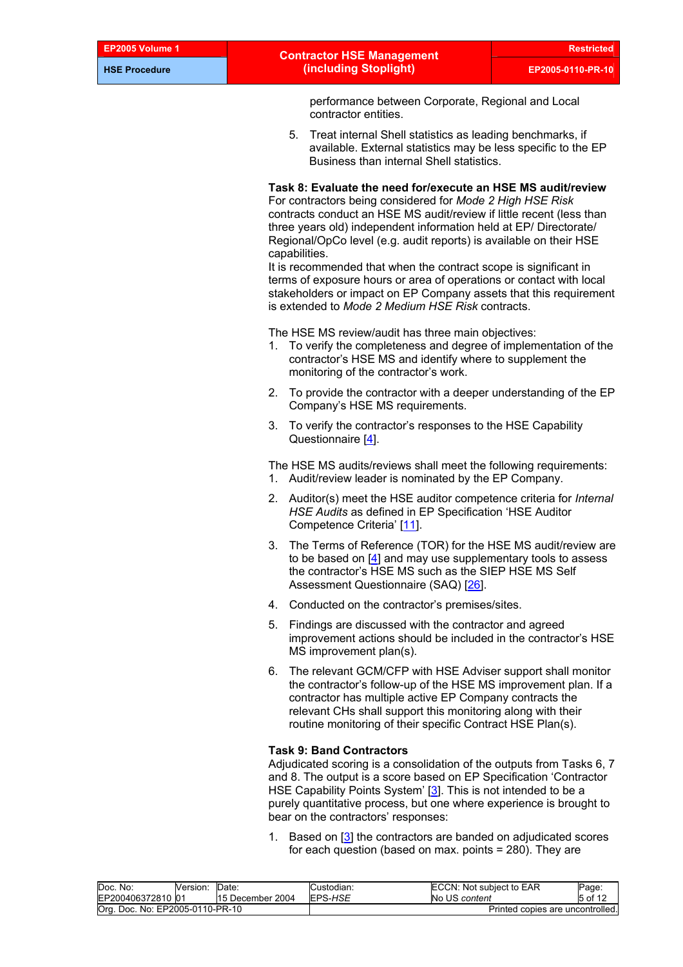# **EP2005 Volume 1 Restricted Contractor HSE Management (including Stoplight) EP2005-0110-PR-10**

performance between Corporate, Regional and Local contractor entities.

5. Treat internal Shell statistics as leading benchmarks, if available. External statistics may be less specific to the EP Business than internal Shell statistics.

# **Task 8: Evaluate the need for/execute an HSE MS audit/review**

For contractors being considered for *Mode 2 High HSE Risk* contracts conduct an HSE MS audit/review if little recent (less than three years old) independent information held at EP/ Directorate/ Regional/OpCo level (e.g. audit reports) is available on their HSE capabilities.

It is recommended that when the contract scope is significant in terms of exposure hours or area of operations or contact with local stakeholders or impact on EP Company assets that this requirement is extended to *Mode 2 Medium HSE Risk* contracts.

The HSE MS review/audit has three main objectives:

- 1. To verify the completeness and degree of implementation of the contractor's HSE MS and identify where to supplement the monitoring of the contractor's work.
- 2. To provide the contractor with a deeper understanding of the EP Company's HSE MS requirements.
- 3. To verify the contractor's responses to the HSE Capability Questionnaire [[4](#page-11-0)].

The HSE MS audits/reviews shall meet the following requirements: 1. Audit/review leader is nominated by the EP Company.

- 2. Auditor(s) meet the HSE auditor competence criteria for *Internal HSE Audits* as defined in EP Specification 'HSE Auditor Competence Criteria' [\[11](#page-11-0)].
- 3. The Terms of Reference (TOR) for the HSE MS audit/review are to be based on [\[4](#page-11-0)] and may use supplementary tools to assess the contractor's HSE MS such as the SIEP HSE MS Self Assessment Questionnaire (SAQ) [\[26\]](#page-11-0).
- 4. Conducted on the contractor's premises/sites.
- 5. Findings are discussed with the contractor and agreed improvement actions should be included in the contractor's HSE MS improvement plan(s).
- 6. The relevant GCM/CFP with HSE Adviser support shall monitor the contractor's follow-up of the HSE MS improvement plan. If a contractor has multiple active EP Company contracts the relevant CHs shall support this monitoring along with their routine monitoring of their specific Contract HSE Plan(s).

#### **Task 9: Band Contractors**

Adjudicated scoring is a consolidation of the outputs from Tasks 6, 7 and 8. The output is a score based on EP Specification 'Contractor HSE Capability Points System' [[3](#page-11-0)]. This is not intended to be a purely quantitative process, but one where experience is brought to bear on the contractors' responses:

1. Based on [[3](#page-11-0)] the contractors are banded on adjudicated scores for each question (based on max. points = 280). They are

| Doc. No:                        | Version: | Date.            | Custodian:                       | ECCN: Not subject to EAR | Page:   |
|---------------------------------|----------|------------------|----------------------------------|--------------------------|---------|
| EP200406372810 01               |          | 15 December 2004 | EPS-HSE                          | No US content            | 5 of 12 |
| Org. Doc. No: EP2005-0110-PR-10 |          |                  | Printed copies are uncontrolled. |                          |         |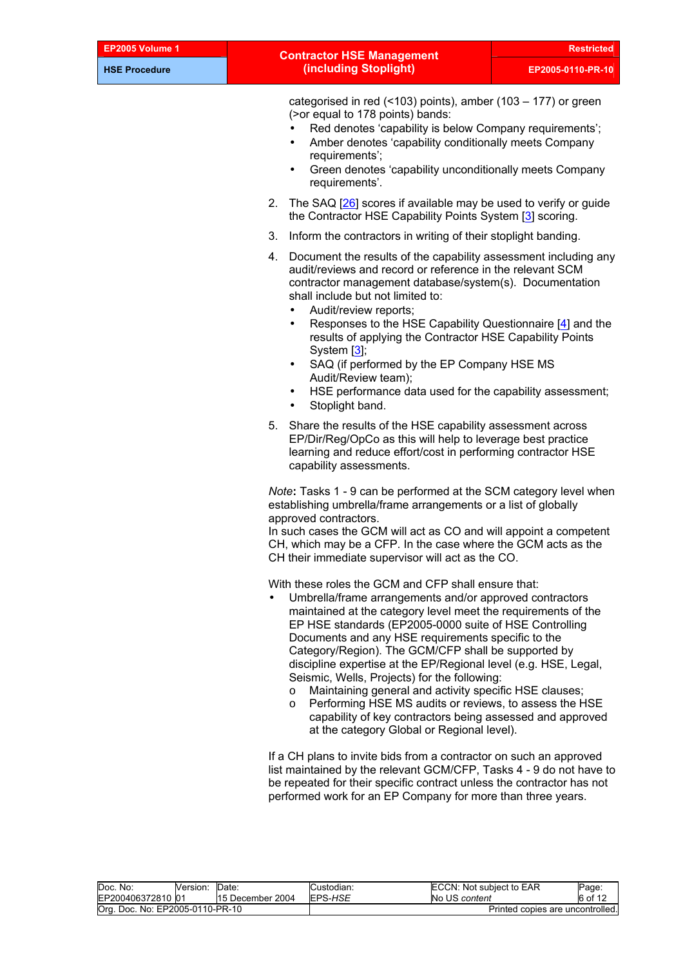|                | <b>Contractor HSE Management</b>                                                                                                                                                                                                                                                                                           | <b>Restricted</b> |
|----------------|----------------------------------------------------------------------------------------------------------------------------------------------------------------------------------------------------------------------------------------------------------------------------------------------------------------------------|-------------------|
|                | (including Stoplight)                                                                                                                                                                                                                                                                                                      | EP2005-0110-PR-10 |
|                | categorised in red $($ <103) points), amber $(103 – 177)$ or green<br>(> or equal to 178 points) bands:<br>Red denotes 'capability is below Company requirements';<br>Amber denotes 'capability conditionally meets Company<br>requirements';<br>Green denotes 'capability unconditionally meets Company<br>requirements'. |                   |
| 2 <sub>1</sub> | The SAQ [26] scores if available may be used to verify or guide<br>the Contractor HSE Capability Points System [3] scoring.                                                                                                                                                                                                |                   |
| 3.             | Inform the contractors in writing of their stoplight banding.                                                                                                                                                                                                                                                              |                   |
|                |                                                                                                                                                                                                                                                                                                                            |                   |

- 4. Document the results of the capability assessment including any audit/reviews and record or reference in the relevant SCM contractor management database/system(s). Documentation shall include but not limited to:
	- Audit/review reports;

EP2005 Volume 1 **HSE Procedure**

- Responses to the HSE Capability Questionnaire [\[4\]](#page-11-0) and the results of applying the Contractor HSE Capability Points System [[3](#page-11-0)];
- SAQ (if performed by the EP Company HSE MS Audit/Review team);
- HSE performance data used for the capability assessment;
- Stoplight band.
- 5. Share the results of the HSE capability assessment across EP/Dir/Reg/OpCo as this will help to leverage best practice learning and reduce effort/cost in performing contractor HSE capability assessments.

*Note***:** Tasks 1 - 9 can be performed at the SCM category level when establishing umbrella/frame arrangements or a list of globally approved contractors.

In such cases the GCM will act as CO and will appoint a competent CH, which may be a CFP. In the case where the GCM acts as the CH their immediate supervisor will act as the CO.

With these roles the GCM and CFP shall ensure that:

- Umbrella/frame arrangements and/or approved contractors maintained at the category level meet the requirements of the EP HSE standards (EP2005-0000 suite of HSE Controlling Documents and any HSE requirements specific to the Category/Region). The GCM/CFP shall be supported by discipline expertise at the EP/Regional level (e.g. HSE, Legal, Seismic, Wells, Projects) for the following:
	- o Maintaining general and activity specific HSE clauses;
	- o Performing HSE MS audits or reviews, to assess the HSE capability of key contractors being assessed and approved at the category Global or Regional level).

If a CH plans to invite bids from a contractor on such an approved list maintained by the relevant GCM/CFP, Tasks 4 - 9 do not have to be repeated for their specific contract unless the contractor has not performed work for an EP Company for more than three years.

| Doc. No:                        | version: | Date:            | Custodian: | ECCN: Not subject to EAR         | Page:   |
|---------------------------------|----------|------------------|------------|----------------------------------|---------|
| EP200406372810 01               |          | 15 December 2004 | EPS-HSE    | No US content                    | 6 of 12 |
| Org. Doc. No: EP2005-0110-PR-10 |          |                  |            | Printed copies are uncontrolled. |         |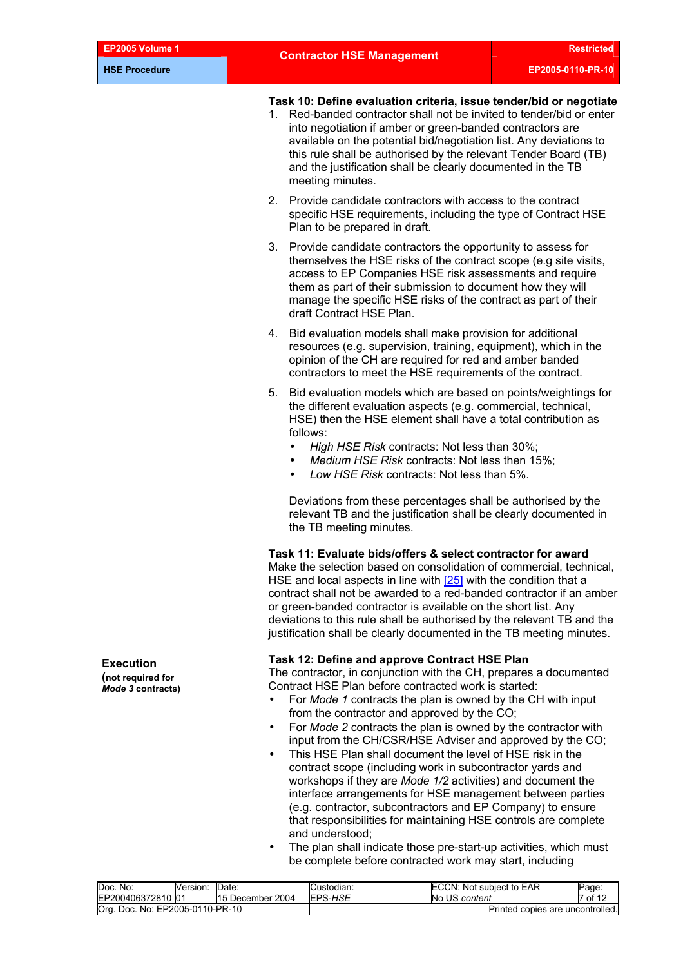#### <span id="page-6-0"></span>**Task 10: Define evaluation criteria, issue tender/bid or negotiate**

- 1. Red-banded contractor shall not be invited to tender/bid or enter into negotiation if amber or green-banded contractors are available on the potential bid/negotiation list. Any deviations to this rule shall be authorised by the relevant Tender Board (TB) and the justification shall be clearly documented in the TB meeting minutes.
- 2. Provide candidate contractors with access to the contract specific HSE requirements, including the type of Contract HSE Plan to be prepared in draft.
- 3. Provide candidate contractors the opportunity to assess for themselves the HSE risks of the contract scope (e.g site visits, access to EP Companies HSE risk assessments and require them as part of their submission to document how they will manage the specific HSE risks of the contract as part of their draft Contract HSE Plan.
- 4. Bid evaluation models shall make provision for additional resources (e.g. supervision, training, equipment), which in the opinion of the CH are required for red and amber banded contractors to meet the HSE requirements of the contract.
- 5. Bid evaluation models which are based on points/weightings for the different evaluation aspects (e.g. commercial, technical, HSE) then the HSE element shall have a total contribution as follows:
	- *High HSE Risk* contracts: Not less than 30%;
	- *Medium HSE Risk* contracts: Not less then 15%;
	- *Low HSE Risk* contracts: Not less than 5%.

Deviations from these percentages shall be authorised by the relevant TB and the justification shall be clearly documented in the TB meeting minutes.

**Task 11: Evaluate bids/offers & select contractor for award** 

Make the selection based on consolidation of commercial, technical, HSE and local aspects in line with [25] with the condition that a contract shall not be awarded to a red-banded contractor if an amber or green-banded contractor is available on the short list. Any deviations to this rule shall be authorised by the relevant TB and the justification shall be clearly documented in the TB meeting minutes.

# **Task 12: Define and approve Contract HSE Plan Execution**

The contractor, in conjunction with the CH, prepares a documented Contract HSE Plan before contracted work is started:

- For *Mode 1* contracts the plan is owned by the CH with input from the contractor and approved by the CO;
- For *Mode 2* contracts the plan is owned by the contractor with input from the CH/CSR/HSE Adviser and approved by the CO;
- This HSE Plan shall document the level of HSE risk in the contract scope (including work in subcontractor yards and workshops if they are *Mode 1/2* activities) and document the interface arrangements for HSE management between parties (e.g. contractor, subcontractors and EP Company) to ensure that responsibilities for maintaining HSE controls are complete and understood;
- The plan shall indicate those pre-start-up activities, which must be complete before contracted work may start, including

| Doc. No:<br>Version:            | Date:            | Custodian: | ECCN: Not subject to EAR         | Page:   |
|---------------------------------|------------------|------------|----------------------------------|---------|
| EP200406372810 01               | 15 December 2004 | EPS-HSE    | No US content                    | 7 of 12 |
| Org. Doc. No: EP2005-0110-PR-10 |                  |            | Printed copies are uncontrolled. |         |

**(not required for**  *Mode 3* **contracts)**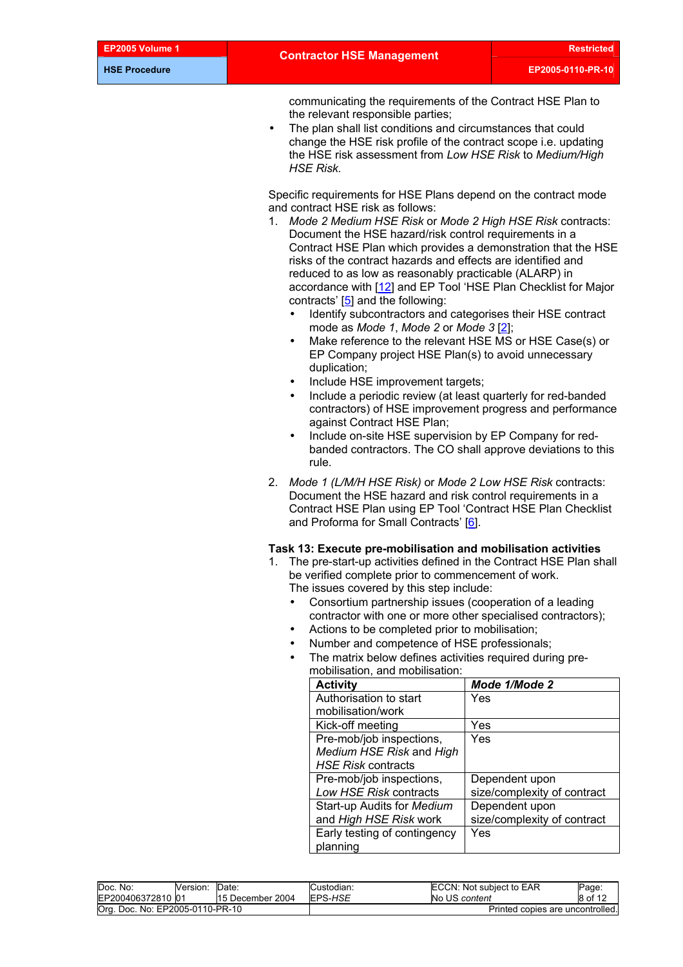communicating the requirements of the Contract HSE Plan to the relevant responsible parties;

The plan shall list conditions and circumstances that could change the HSE risk profile of the contract scope i.e. updating the HSE risk assessment from *Low HSE Risk* to *Medium/High HSE Risk.*

Specific requirements for HSE Plans depend on the contract mode and contract HSE risk as follows:

- 1. *Mode 2 Medium HSE Risk* or *Mode 2 High HSE Risk* contracts: Document the HSE hazard/risk control requirements in a Contract HSE Plan which provides a demonstration that the HSE risks of the contract hazards and effects are identified and reduced to as low as reasonably practicable (ALARP) in accordance with [[12\]](#page-11-0) and EP Tool 'HSE Plan Checklist for Major contracts' [\[5\]](#page-11-0) and the following:
	- Identify subcontractors and categorises their HSE contract mode as *Mode 1*, *Mode 2* or *Mode 3* [\[2\]](#page-11-0);
	- Make reference to the relevant HSE MS or HSE Case(s) or EP Company project HSE Plan(s) to avoid unnecessary duplication;
	- Include HSE improvement targets;
	- Include a periodic review (at least quarterly for red-banded contractors) of HSE improvement progress and performance against Contract HSE Plan;
	- Include on-site HSE supervision by EP Company for redbanded contractors. The CO shall approve deviations to this rule.
- 2. *Mode 1 (L/M/H HSE Risk)* or *Mode 2 Low HSE Risk* contracts: Document the HSE hazard and risk control requirements in a Contract HSE Plan using EP Tool 'Contract HSE Plan Checklist and Proforma for Small Contracts' [[6\]](#page-11-0).

#### **Task 13: Execute pre-mobilisation and mobilisation activities**

- 1. The pre-start-up activities defined in the Contract HSE Plan shall be verified complete prior to commencement of work. The issues covered by this step include:
	- Consortium partnership issues (cooperation of a leading contractor with one or more other specialised contractors);
	- Actions to be completed prior to mobilisation;
	- Number and competence of HSE professionals;
	- The matrix below defines activities required during premobilisation, and mobilisation:

| <b>Activity</b>              | Mode 1/Mode 2               |
|------------------------------|-----------------------------|
| Authorisation to start       | Yes                         |
| mobilisation/work            |                             |
| Kick-off meeting             | Yes                         |
| Pre-mob/job inspections,     | Yes                         |
| Medium HSE Risk and High     |                             |
| <b>HSE Risk contracts</b>    |                             |
| Pre-mob/job inspections,     | Dependent upon              |
| Low HSE Risk contracts       | size/complexity of contract |
| Start-up Audits for Medium   | Dependent upon              |
| and High HSE Risk work       | size/complexity of contract |
| Early testing of contingency | Yes                         |
| planning                     |                             |

| Doc. No:                        | Version: | Date             | Custodian:     | ECCN: Not subject to EAR         | Page:   |
|---------------------------------|----------|------------------|----------------|----------------------------------|---------|
| EP200406372810 01               |          | 15 December 2004 | <b>EPS-HSE</b> | No US content                    | 8 of 12 |
| Org. Doc. No: EP2005-0110-PR-10 |          |                  |                | Printed copies are uncontrolled. |         |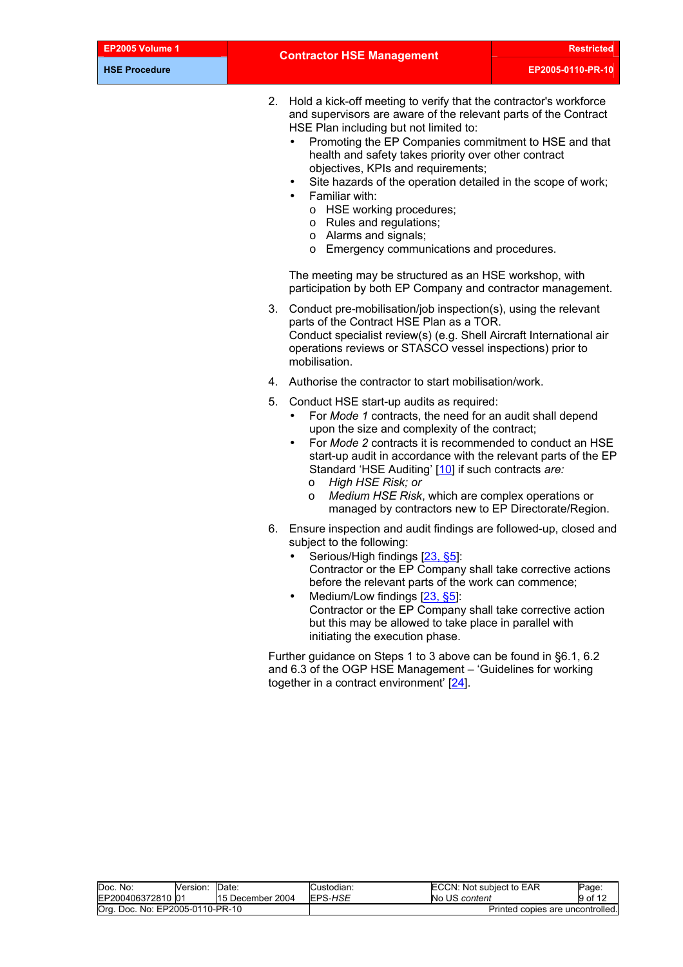| EP2005 Volume |  |
|---------------|--|
|---------------|--|

2. Hold a kick-off meeting to verify that the contractor's workforce and supervisors are aware of the relevant parts of the Contract HSE Plan including but not limited to:

- Promoting the EP Companies commitment to HSE and that health and safety takes priority over other contract objectives, KPIs and requirements;
- Site hazards of the operation detailed in the scope of work;
- Familiar with:
	- o HSE working procedures;
	- o Rules and regulations;
	- o Alarms and signals;
	- o Emergency communications and procedures.

The meeting may be structured as an HSE workshop, with participation by both EP Company and contractor management.

- 3. Conduct pre-mobilisation/job inspection(s), using the relevant parts of the Contract HSE Plan as a TOR. Conduct specialist review(s) (e.g. Shell Aircraft International air operations reviews or STASCO vessel inspections) prior to mobilisation.
- 4. Authorise the contractor to start mobilisation/work.
- 5. Conduct HSE start-up audits as required:
	- For *Mode 1* contracts, the need for an audit shall depend upon the size and complexity of the contract;
	- For *Mode 2* contracts it is recommended to conduct an HSE start-up audit in accordance with the relevant parts of the EP Standard 'HSE Auditing' [\[10\]](#page-11-0) if such contracts *are:*
		- o *High HSE Risk; or*
		- o *Medium HSE Risk*, which are complex operations or managed by contractors new to EP Directorate/Region.
- 6. Ensure inspection and audit findings are followed-up, closed and subject to the following:
	- Serious/High findings [[23, §5](#page-11-0)]: Contractor or the EP Company shall take corrective actions before the relevant parts of the work can commence;
	- Medium/Low findings [\[23, §5\]](#page-11-0): Contractor or the EP Company shall take corrective action but this may be allowed to take place in parallel with initiating the execution phase.

Further guidance on Steps 1 to 3 above can be found in §6.1, 6.2 and 6.3 of the OGP HSE Management – 'Guidelines for working together in a contract environment' [\[24\]](#page-11-0).

| Doc.<br>No:                     | Version: | Date             | Custodian: | ECCN: Not subject to EAR         | Page: |
|---------------------------------|----------|------------------|------------|----------------------------------|-------|
| EP200406372810 01               |          | 15 December 2004 | EPS-HSE    | No US content                    |       |
| Org. Doc. No: EP2005-0110-PR-10 |          |                  |            | Printed copies are uncontrolled. |       |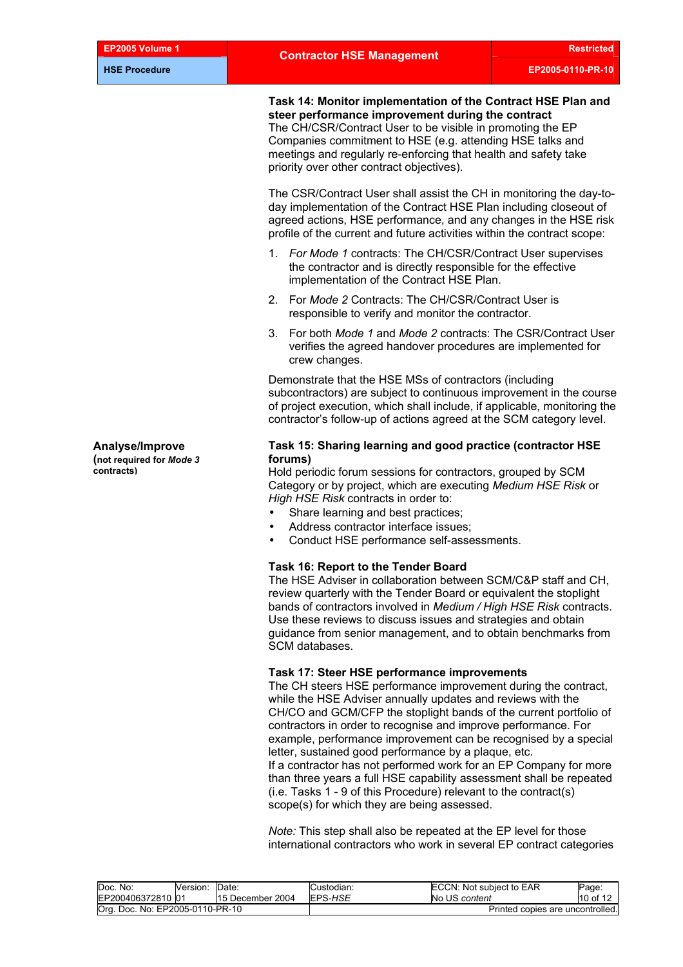**Task 14: Monitor implementation of the Contract HSE Plan and steer performance improvement during the contract**  The CH/CSR/Contract User to be visible in promoting the EP Companies commitment to HSE (e.g. attending HSE talks and meetings and regularly re-enforcing that health and safety take priority over other contract objectives).

The CSR/Contract User shall assist the CH in monitoring the day-today implementation of the Contract HSE Plan including closeout of agreed actions, HSE performance, and any changes in the HSE risk profile of the current and future activities within the contract scope:

- 1. *For Mode 1* contracts: The CH/CSR/Contract User supervises the contractor and is directly responsible for the effective implementation of the Contract HSE Plan.
- 2. For *Mode 2* Contracts: The CH/CSR/Contract User is responsible to verify and monitor the contractor.
- 3. For both *Mode 1* and *Mode 2* contracts: The CSR/Contract User verifies the agreed handover procedures are implemented for crew changes.

Demonstrate that the HSE MSs of contractors (including subcontractors) are subject to continuous improvement in the course of project execution, which shall include, if applicable, monitoring the contractor's follow-up of actions agreed at the SCM category level.

#### **Task 15: Sharing learning and good practice (contractor HSE forums)**

**contracts)** Hold periodic forum sessions for contractors, grouped by SCM Category or by project, which are executing *Medium HSE Risk* or *High HSE Risk* contracts in order to:

- Share learning and best practices:
- Address contractor interface issues;
- Conduct HSE performance self-assessments.

#### **Task 16: Report to the Tender Board**

The HSE Adviser in collaboration between SCM/C&P staff and CH, review quarterly with the Tender Board or equivalent the stoplight bands of contractors involved in *Medium / High HSE Risk* contracts. Use these reviews to discuss issues and strategies and obtain guidance from senior management, and to obtain benchmarks from SCM databases.

#### **Task 17: Steer HSE performance improvements**

The CH steers HSE performance improvement during the contract, while the HSE Adviser annually updates and reviews with the CH/CO and GCM/CFP the stoplight bands of the current portfolio of contractors in order to recognise and improve performance. For example, performance improvement can be recognised by a special letter, sustained good performance by a plaque, etc. If a contractor has not performed work for an EP Company for more than three years a full HSE capability assessment shall be repeated (i.e. Tasks 1 - 9 of this Procedure) relevant to the contract(s) scope(s) for which they are being assessed.

*Note:* This step shall also be repeated at the EP level for those international contractors who work in several EP contract categories

| Doc. No:                        | Version: | Date             | Custodian: | ECCN: Not subject to EAR         | Page:      |
|---------------------------------|----------|------------------|------------|----------------------------------|------------|
| EP200406372810 01               |          | 15 December 2004 | EPS-HSE    | No US content                    | $10$ of 12 |
| Org. Doc. No: EP2005-0110-PR-10 |          |                  |            | Printed copies are uncontrolled. |            |

**Analyse/Improve (not required for** *Mode 3*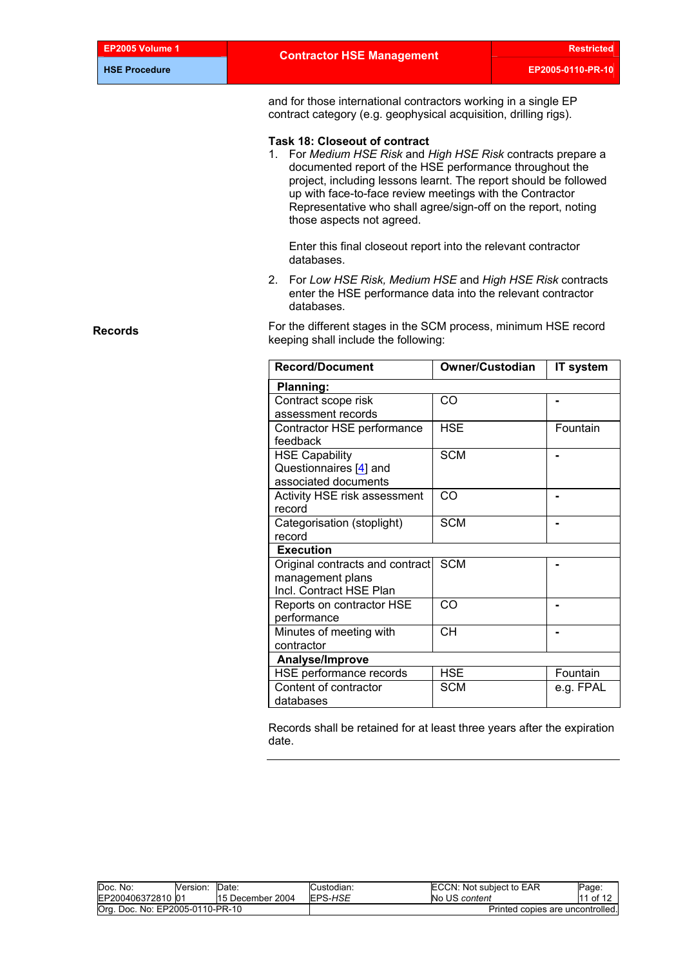| EP2005 Volume 1      | <b>Contractor HSE Management</b>                                                                                                                                                                                                                                                                                                                                                              |                                                                                                                                    | <b>Restricted</b> |  |  |  |  |
|----------------------|-----------------------------------------------------------------------------------------------------------------------------------------------------------------------------------------------------------------------------------------------------------------------------------------------------------------------------------------------------------------------------------------------|------------------------------------------------------------------------------------------------------------------------------------|-------------------|--|--|--|--|
| <b>HSE Procedure</b> |                                                                                                                                                                                                                                                                                                                                                                                               |                                                                                                                                    | EP2005-0110-PR-10 |  |  |  |  |
|                      |                                                                                                                                                                                                                                                                                                                                                                                               | and for those international contractors working in a single EP<br>contract category (e.g. geophysical acquisition, drilling rigs). |                   |  |  |  |  |
|                      | <b>Task 18: Closeout of contract</b><br>1. For Medium HSE Risk and High HSE Risk contracts prepare a<br>documented report of the HSE performance throughout the<br>project, including lessons learnt. The report should be followed<br>up with face-to-face review meetings with the Contractor<br>Representative who shall agree/sign-off on the report, noting<br>those aspects not agreed. |                                                                                                                                    |                   |  |  |  |  |
|                      | Enter this final closeout report into the relevant contractor<br>databases.                                                                                                                                                                                                                                                                                                                   |                                                                                                                                    |                   |  |  |  |  |
|                      | 2. For Low HSE Risk, Medium HSE and High HSE Risk contracts<br>enter the HSE performance data into the relevant contractor<br>databases.                                                                                                                                                                                                                                                      |                                                                                                                                    |                   |  |  |  |  |
| <b>Records</b>       | For the different stages in the SCM process, minimum HSE record<br>keeping shall include the following:                                                                                                                                                                                                                                                                                       |                                                                                                                                    |                   |  |  |  |  |
|                      | <b>Record/Document</b>                                                                                                                                                                                                                                                                                                                                                                        | <b>Owner/Custodian</b>                                                                                                             | IT system         |  |  |  |  |
|                      | Planning:                                                                                                                                                                                                                                                                                                                                                                                     |                                                                                                                                    |                   |  |  |  |  |
|                      | Contract scope risk                                                                                                                                                                                                                                                                                                                                                                           | CO                                                                                                                                 |                   |  |  |  |  |
|                      | assessment records                                                                                                                                                                                                                                                                                                                                                                            |                                                                                                                                    |                   |  |  |  |  |
|                      | Contractor HSE performance<br>feedback                                                                                                                                                                                                                                                                                                                                                        | <b>HSE</b>                                                                                                                         | Fountain          |  |  |  |  |
|                      | <b>HSE Capability</b><br>Questionnaires [4] and<br>associated documents                                                                                                                                                                                                                                                                                                                       | <b>SCM</b>                                                                                                                         | $\blacksquare$    |  |  |  |  |
|                      | Activity HSE risk assessment<br>record                                                                                                                                                                                                                                                                                                                                                        | CO                                                                                                                                 | $\blacksquare$    |  |  |  |  |
|                      | Categorisation (stoplight)<br>record                                                                                                                                                                                                                                                                                                                                                          | <b>SCM</b>                                                                                                                         | $\blacksquare$    |  |  |  |  |
|                      | <b>Execution</b>                                                                                                                                                                                                                                                                                                                                                                              |                                                                                                                                    |                   |  |  |  |  |
|                      | Original contracts and contract                                                                                                                                                                                                                                                                                                                                                               | <b>SCM</b>                                                                                                                         |                   |  |  |  |  |
|                      | management plans<br>Incl. Contract HSE Plan                                                                                                                                                                                                                                                                                                                                                   |                                                                                                                                    |                   |  |  |  |  |
|                      | Reports on contractor HSE<br>performance                                                                                                                                                                                                                                                                                                                                                      | CO                                                                                                                                 | $\blacksquare$    |  |  |  |  |
|                      | Minutes of meeting with<br>contractor                                                                                                                                                                                                                                                                                                                                                         | <b>CH</b>                                                                                                                          | $\blacksquare$    |  |  |  |  |
|                      | Analyse/Improve                                                                                                                                                                                                                                                                                                                                                                               |                                                                                                                                    |                   |  |  |  |  |
|                      | HSE performance records                                                                                                                                                                                                                                                                                                                                                                       | <b>HSE</b>                                                                                                                         | Fountain          |  |  |  |  |
|                      | Content of contractor                                                                                                                                                                                                                                                                                                                                                                         | <b>SCM</b>                                                                                                                         | e.g. FPAL         |  |  |  |  |
|                      | databases                                                                                                                                                                                                                                                                                                                                                                                     |                                                                                                                                    |                   |  |  |  |  |
|                      |                                                                                                                                                                                                                                                                                                                                                                                               |                                                                                                                                    |                   |  |  |  |  |

Records shall be retained for at least three years after the expiration date.

| Doc. No:                        | Version: | Date:            | Custodian: | ECCN: Not subject to EAR         | Page:    |
|---------------------------------|----------|------------------|------------|----------------------------------|----------|
| EP200406372810 01               |          | 15 December 2004 | EPS-HSE    | No US content                    | 11 of 12 |
| Org. Doc. No: EP2005-0110-PR-10 |          |                  |            | Printed copies are uncontrolled. |          |